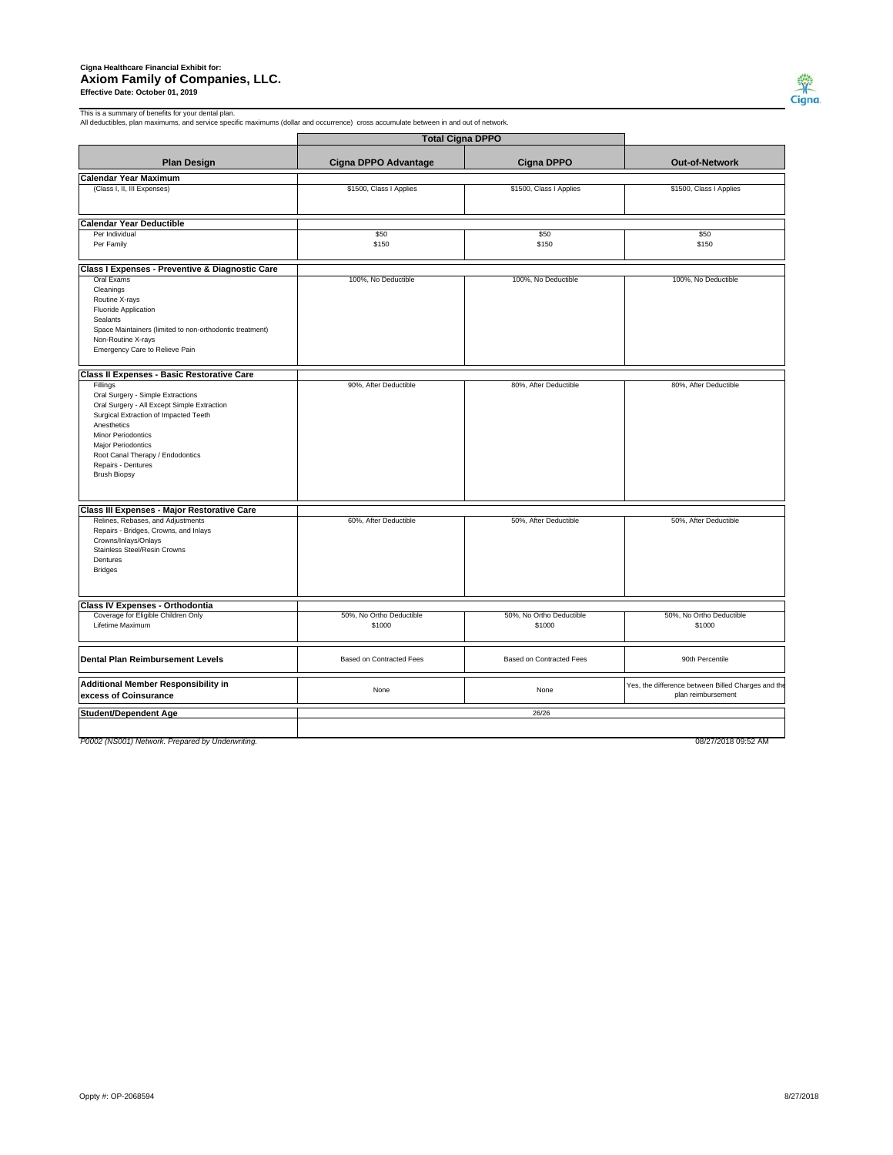## **Cigna Healthcare Financial Exhibit for: Axiom Family of Companies, LLC. Effective Date: October 01, 2019**



This is a summary of benefits for your dental plan. All deductibles, plan maximums, and service specific maximums (dollar and occurrence) cross accumulate between in and out of network.

| <b>Total Cigna DPPO</b>                                  |                          |                          |                                                    |  |
|----------------------------------------------------------|--------------------------|--------------------------|----------------------------------------------------|--|
| <b>Plan Design</b>                                       | Cigna DPPO Advantage     | <b>Cigna DPPO</b>        | Out-of-Network                                     |  |
| <b>Calendar Year Maximum</b>                             |                          |                          |                                                    |  |
| (Class I, II, III Expenses)                              | \$1500, Class I Applies  | \$1500, Class I Applies  | \$1500, Class I Applies                            |  |
| <b>Calendar Year Deductible</b>                          |                          |                          |                                                    |  |
| Per Individual                                           | \$50                     | \$50                     | \$50                                               |  |
| Per Family                                               | \$150                    | \$150                    | \$150                                              |  |
| Class I Expenses - Preventive & Diagnostic Care          |                          |                          |                                                    |  |
| Oral Exams                                               | 100%, No Deductible      | 100%, No Deductible      | 100%, No Deductible                                |  |
| Cleanings                                                |                          |                          |                                                    |  |
| Routine X-rays                                           |                          |                          |                                                    |  |
| Fluoride Application                                     |                          |                          |                                                    |  |
| Sealants                                                 |                          |                          |                                                    |  |
| Space Maintainers (limited to non-orthodontic treatment) |                          |                          |                                                    |  |
| Non-Routine X-rays                                       |                          |                          |                                                    |  |
| Emergency Care to Relieve Pain                           |                          |                          |                                                    |  |
| Class II Expenses - Basic Restorative Care               |                          |                          |                                                    |  |
| Fillings                                                 | 90%, After Deductible    | 80%, After Deductible    | 80%, After Deductible                              |  |
| Oral Surgery - Simple Extractions                        |                          |                          |                                                    |  |
| Oral Surgery - All Except Simple Extraction              |                          |                          |                                                    |  |
| Surgical Extraction of Impacted Teeth                    |                          |                          |                                                    |  |
| Anesthetics                                              |                          |                          |                                                    |  |
| Minor Periodontics                                       |                          |                          |                                                    |  |
| Major Periodontics                                       |                          |                          |                                                    |  |
| Root Canal Therapy / Endodontics                         |                          |                          |                                                    |  |
| Repairs - Dentures                                       |                          |                          |                                                    |  |
| <b>Brush Biopsy</b>                                      |                          |                          |                                                    |  |
|                                                          |                          |                          |                                                    |  |
| Class III Expenses - Major Restorative Care              |                          |                          |                                                    |  |
| Relines, Rebases, and Adjustments                        | 60%, After Deductible    | 50%, After Deductible    | 50%, After Deductible                              |  |
| Repairs - Bridges, Crowns, and Inlays                    |                          |                          |                                                    |  |
| Crowns/Inlays/Onlays                                     |                          |                          |                                                    |  |
| Stainless Steel/Resin Crowns                             |                          |                          |                                                    |  |
| Dentures                                                 |                          |                          |                                                    |  |
| <b>Bridges</b>                                           |                          |                          |                                                    |  |
|                                                          |                          |                          |                                                    |  |
| <b>Class IV Expenses - Orthodontia</b>                   |                          |                          |                                                    |  |
| Coverage for Eligible Children Only                      | 50%, No Ortho Deductible | 50%, No Ortho Deductible | 50%, No Ortho Deductible                           |  |
| Lifetime Maximum                                         | \$1000                   | \$1000                   | \$1000                                             |  |
|                                                          |                          |                          |                                                    |  |
| <b>Dental Plan Reimbursement Levels</b>                  | Based on Contracted Fees | Based on Contracted Fees | 90th Percentile                                    |  |
| Additional Member Responsibility in                      |                          |                          | Yes, the difference between Billed Charges and the |  |
| excess of Coinsurance                                    | None                     | None                     | plan reimbursement                                 |  |
| <b>Student/Dependent Age</b>                             |                          | 26/26                    |                                                    |  |
|                                                          |                          |                          |                                                    |  |
| P0002 (NS001) Network. Prepared by Underwriting.         |                          |                          | 08/27/2018 09:52 AM                                |  |